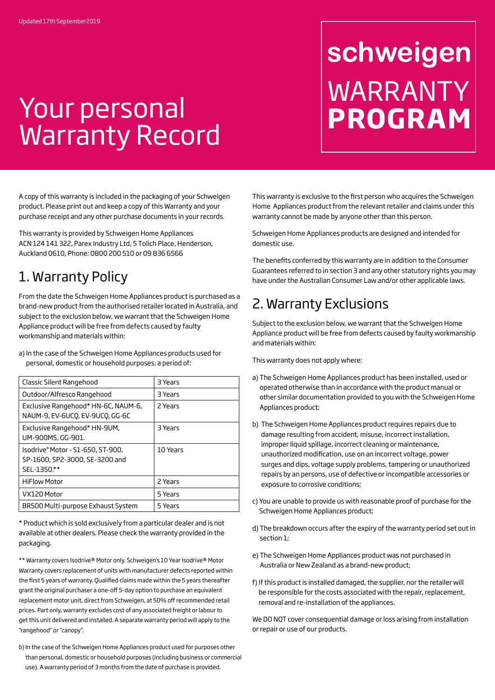## Your personal Warranty Record

# schweigen WARRANTY **PROGRAM**

A copy of this warranty is included in the packaging of your Schweigen product. Please print out and keep a copy of this Warranty and your purchase receipt and any other purchase documents in your records.

This warranty is provided by Schweigen Home Appliances ACN 124 141 322, Parex Industry Ltd, 5 Tolich Place, Henderson, Auckland 0610, Phone: 0800 200 510 or 09 836 6566

#### 1. Warranty Policy

From the date the Schweigen Home Appliances product is purchased as a brand-new product from the authorised retailer located in Australia, and subject to the exclusion below, we warrant that the Schweigen Home Appliance product will be free from defects caused by faulty workmanship and materials within:

a) In the case of the Schweigen Home Appliances products used for personal, domestic or household purposes, a period of:

| Classic Silent Rangehood                                                           | 3 Years  |
|------------------------------------------------------------------------------------|----------|
| Outdoor/Alfresco Rangehood                                                         | 3 Years  |
| Exclusive Rangehood* HN-6C, NAUM-6,<br>NAUM-9, EV-6UCQ, EV-9UCQ, GG-6C             | 2 Years  |
| Exclusive Rangehood* HN-9UM,<br>UM-900MS, GG-901.                                  | 3 Years  |
| Isodrive® Motor - S1-650, ST-900,<br>SP-1600, SP2-3000, SE-3200 and<br>SEL-1350.** | 10 Years |
| <b>HiFlow Motor</b>                                                                | 2 Years  |
| VX120 Motor                                                                        | 5 Years  |
| BR500 Multi-purpose Exhaust System                                                 | 5 Years  |

\* Product which is sold exclusively from a particular dealer and is not available at other dealers. Please check the warranty provided in the packaging.

\*\* Warranty covers Isodrive® Motor only. Schweigen's 10 Year Isodrive® Motor Warranty covers replacement of units with manufacturer defects reported within the first 5 years of warranty. Qualified claims made within the 5 years thereafter grant the original purchaser a one-off 5-day option to purchase an equivalent replacement motor unit, direct from Schweigen, at 50% off recommended retail prices. Part only, warranty excludes cost of any associated freight or labour to get this unit delivered and installed. A separate warranty period will apply to the "rangehood" or "canopy".

b) In the case of the Schweigen Home Appliances product used for purposes other than personal, domestic or household purposes (including business or commercial use). A warranty period of 3 months from the date of purchase is provided.

This warranty is exclusive to the first person who acquires the Schweigen Home Appliances product from the relevant retailer and claims under this warranty cannot be made by anyone other than this person.

Schweigen Home Appliances products are designed and intended for domestic use.

The benefits conferred by this warranty are in addition to the Consumer Guarantees referred to in section 3 and any other statutory rights you may have under the Australian Consumer Law and/or other applicable laws.

#### 2. Warranty Exclusions

Subject to the exclusion below, we warrant that the Schweigen Home Appliance product will be free from defects caused by faulty workmanship and materials within:

This warranty does not apply where:

- a) The Schweigen Home Appliances product has been installed, used or operated otherwise than in accordance with the product manual or other similar documentation provided to you with the Schweigen Home Appliances product;
- b) The Schweigen Home Appliances product requires repairs due to damage resulting from accident, misuse, incorrect installation, improper liquid spillage, incorrect cleaning or maintenance, unauthorized modification, use on an incorrect voltage, power surges and dips, voltage supply problems, tampering or unauthorized repairs by an persons, use of defective or incompatible accessories or exposure to corrosive conditions;
- c) You are unable to provide us with reasonable proof of purchase for the Schweigen Home Appliances product;
- d) The breakdown occurs after the expiry of the warranty period set out in section 1;
- e) The Schweigen Home Appliances product was not purchased in Australia or New Zealand as a brand-new product;
- f) If this product is installed damaged, the supplier, nor the retailer will be responsible for the costs associated with the repair, replacement, removal and re-installation of the appliances.

We DO NOT cover consequential damage or loss arising from installation or repair or use of our products.